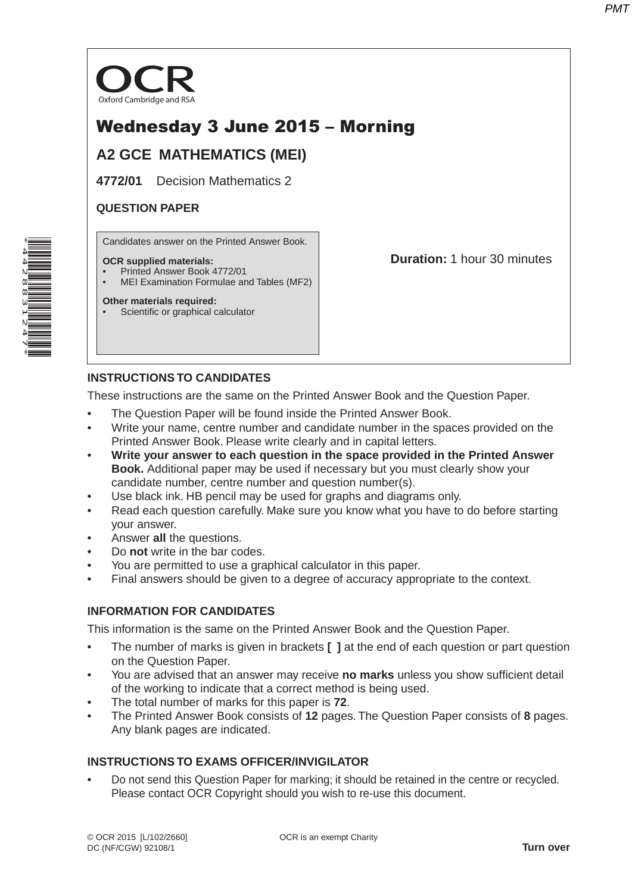

# Wednesday 3 June 2015 – Morning

## **A2 GCE MATHEMATICS (MEI)**

**4772/01** Decision Mathematics 2

#### **QUESTION PAPER**

Candidates answer on the Printed Answer Book.

#### **OCR supplied materials:**

- Printed Answer Book 4772/01
- MEI Examination Formulae and Tables (MF2)

#### **Other materials required:**

Scientific or graphical calculator

**Duration:** 1 hour 30 minutes

#### **INSTRUCTIONS TO CANDIDATES**

These instructions are the same on the Printed Answer Book and the Question Paper.

- The Question Paper will be found inside the Printed Answer Book.
- Write your name, centre number and candidate number in the spaces provided on the Printed Answer Book. Please write clearly and in capital letters.
- **Write your answer to each question in the space provided in the Printed Answer Book.** Additional paper may be used if necessary but you must clearly show your candidate number, centre number and question number(s).
- Use black ink. HB pencil may be used for graphs and diagrams only.
- Read each question carefully. Make sure you know what you have to do before starting your answer.
- Answer **all** the questions.
- Do **not** write in the bar codes.
- You are permitted to use a graphical calculator in this paper.
- Final answers should be given to a degree of accuracy appropriate to the context.

#### **INFORMATION FOR CANDIDATES**

This information is the same on the Printed Answer Book and the Question Paper.

- The number of marks is given in brackets **[ ]** at the end of each question or part question on the Question Paper.
- You are advised that an answer may receive **no marks** unless you show sufficient detail of the working to indicate that a correct method is being used.
- The total number of marks for this paper is **72**.
- The Printed Answer Book consists of **12** pages. The Question Paper consists of **8** pages. Any blank pages are indicated.

#### **INSTRUCTIONS TO EXAMS OFFICER/INVIGILATOR**

• Do not send this Question Paper for marking; it should be retained in the centre or recycled. Please contact OCR Copyright should you wish to re-use this document.

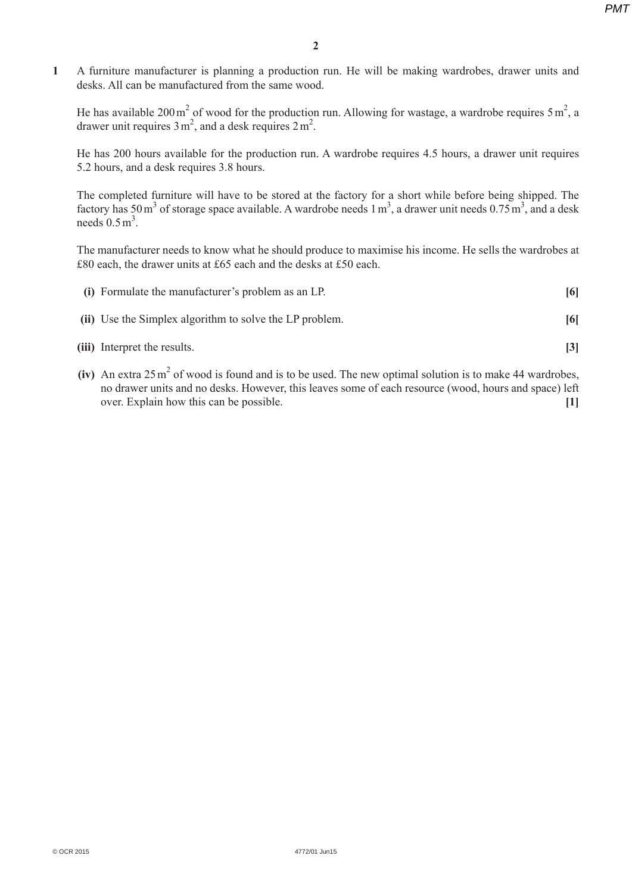**1**  A furniture manufacturer is planning a production run. He will be making wardrobes, drawer units and desks. All can be manufactured from the same wood.

He has available 200 m<sup>2</sup> of wood for the production run. Allowing for wastage, a wardrobe requires 5 m<sup>2</sup>, a drawer unit requires  $3 \text{ m}^2$ , and a desk requires  $2 \text{ m}^2$ .

He has 200 hours available for the production run. A wardrobe requires 4.5 hours, a drawer unit requires 5.2 hours, and a desk requires 3.8 hours.

The completed furniture will have to be stored at the factory for a short while before being shipped. The factory has 50 m<sup>3</sup> of storage space available. A wardrobe needs  $1 \text{ m}^3$ , a drawer unit needs  $0.75 \text{ m}^3$ , and a desk needs  $0.5 \text{ m}^3$ .

The manufacturer needs to know what he should produce to maximise his income. He sells the wardrobes at £80 each, the drawer units at £65 each and the desks at £50 each.

| (i) Formulate the manufacturer's problem as an LP.      | [6]              |
|---------------------------------------------------------|------------------|
| (ii) Use the Simplex algorithm to solve the LP problem. | [6]              |
| (iii) Interpret the results.                            | $\left 3\right $ |

(iv) An extra  $25 \text{ m}^2$  of wood is found and is to be used. The new optimal solution is to make 44 wardrobes, no drawer units and no desks. However, this leaves some of each resource (wood, hours and space) left over. Explain how this can be possible. **[1]**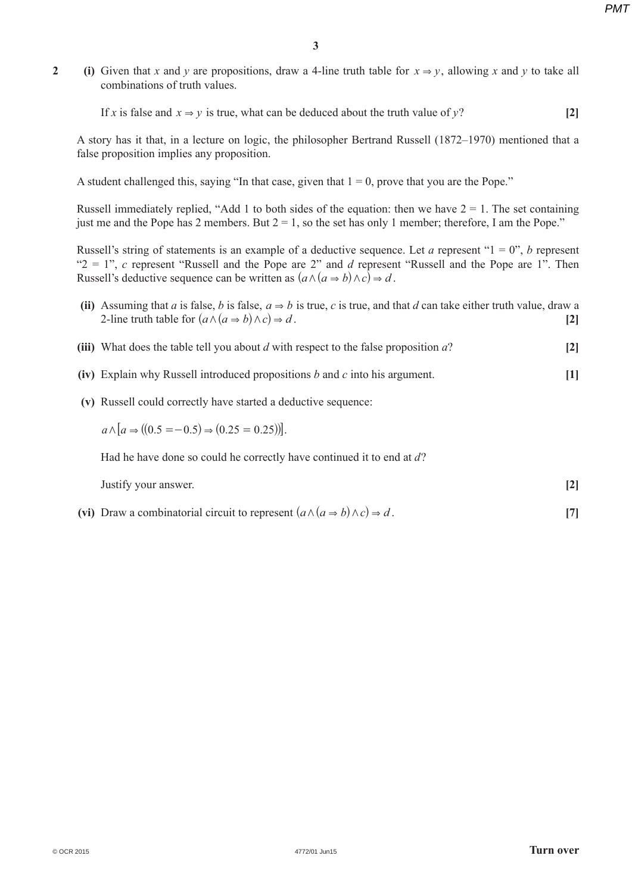**2** (i) Given that *x* and *y* are propositions, draw a 4-line truth table for  $x \Rightarrow y$ , allowing *x* and *y* to take all combinations of truth values.

If *x* is false and  $x \Rightarrow y$  is true, what can be deduced about the truth value of *y*? [2]

A story has it that, in a lecture on logic, the philosopher Bertrand Russell (1872–1970) mentioned that a false proposition implies any proposition.

A student challenged this, saying "In that case, given that  $1 = 0$ , prove that you are the Pope."

Russell immediately replied, "Add 1 to both sides of the equation: then we have  $2 = 1$ . The set containing just me and the Pope has 2 members. But  $2 = 1$ , so the set has only 1 member; therefore, I am the Pope."

Russell's string of statements is an example of a deductive sequence. Let *a* represent " $1 = 0$ ", *b* represent " $2 = 1$ ", *c* represent "Russell and the Pope are 2" and *d* represent "Russell and the Pope are 1". Then Russell's deductive sequence can be written as  $(a \wedge (a \Rightarrow b) \wedge c) \Rightarrow d$ .

- **(ii)** Assuming that *a* is false, *b* is false,  $a \Rightarrow b$  is true, *c* is true, and that *d* can take either truth value, draw a 2-line truth table for  $(a \wedge (a \Rightarrow b) \wedge c) \Rightarrow d$ . **[2]**
- **(iii)** What does the table tell you about *d* with respect to the false proposition *a*? [2]
- **(iv)** Explain why Russell introduced propositions *b* and *c* into his argument. **[1]**
- **(v)** Russell could correctly have started a deductive sequence:

 $a \wedge [a \Rightarrow ((0.5 = -0.5) \Rightarrow (0.25 = 0.25))].$ 

Had he have done so could he correctly have continued it to end at *d*?

*<u>Iustify your answer.* [2]</u>

**(vi)** Draw a combinatorial circuit to represent  $(a \land (a \Rightarrow b) \land c) \Rightarrow d$ . [7]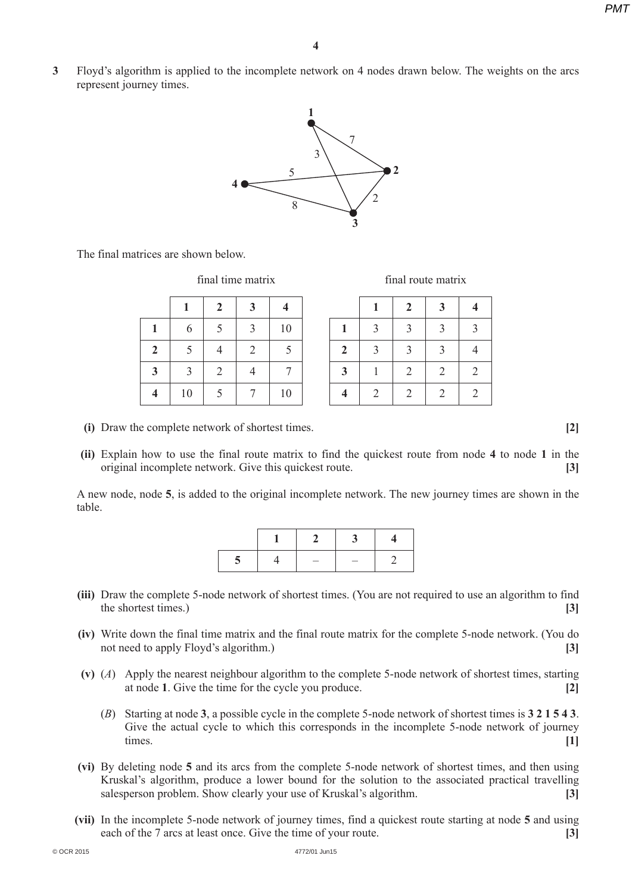**3**  Floyd's algorithm is applied to the incomplete network on 4 nodes drawn below. The weights on the arcs represent journey times.



The final matrices are shown below.

final time matrix final route matrix

|             |                         | $\overline{2}$ | $\overline{\phantom{a}}$                                         | $\overline{4}$  |              |          | $\overline{\mathbf{2}}$ | 3 <sup>7</sup> | $\overline{4}$ |
|-------------|-------------------------|----------------|------------------------------------------------------------------|-----------------|--------------|----------|-------------------------|----------------|----------------|
|             |                         | $6 \mid 5$     | $\begin{array}{ c c c c c } \hline 3 & 10 \\ \hline \end{array}$ |                 |              | $3 \mid$ | $3-1$                   | $\overline{3}$ | $\overline{3}$ |
| $2^{\circ}$ | $5\overline{)}$         | $\overline{4}$ | 2                                                                | $5\overline{)}$ | $2^{\circ}$  | $3-1$    | 3 <sup>1</sup>          | $\overline{3}$ | $\overline{4}$ |
| 3           | $\overline{\mathbf{3}}$ | 2              |                                                                  |                 | $\mathbf{3}$ |          | 2                       | $\overline{2}$ | $\overline{2}$ |
|             | 10                      | $1 - 5$        | 7   10                                                           |                 |              | 2        | 2                       | $\overline{2}$ | $\overline{2}$ |

| 1   | $2^{\circ}$    | $\overline{\mathbf{3}}$ |    |                | $\mathbf{1}$   | $\overline{2}$ | $\mathbf{3}$   |               |
|-----|----------------|-------------------------|----|----------------|----------------|----------------|----------------|---------------|
| 6   | 5 <sup>5</sup> | $\mathcal{R}$           | 10 | 1              | $\mathbf{3}$   | $\mathcal{E}$  | 3              | $\mathcal{R}$ |
| 5   |                | 2                       |    | $\overline{2}$ | $\mathfrak{Z}$ | $\overline{3}$ | $\overline{3}$ |               |
| 3   | 2              |                         |    | 3              |                | $\overline{2}$ | 2              |               |
| l O |                |                         | 10 |                | $\overline{2}$ | $\overline{2}$ | 2              |               |

- **(i)** Draw the complete network of shortest times. **[2]**
- **(ii)**  Explain how to use the final route matrix to find the quickest route from node **4** to node **1** in the original incomplete network. Give this quickest route. **[3]**

A new node, node **5**, is added to the original incomplete network. The new journey times are shown in the table.

|  | - |  |
|--|---|--|

- **(iii)** Draw the complete 5-node network of shortest times. (You are not required to use an algorithm to find the shortest times.) **[3]**
- **(iv)** Write down the final time matrix and the final route matrix for the complete 5-node network. (You do not need to apply Floyd's algorithm.) **[3]**
- **(v)** (*A*) Apply the nearest neighbour algorithm to the complete 5-node network of shortest times, starting at node **1**. Give the time for the cycle you produce. **[2]**
	- (*B*) Starting at node **3**, a possible cycle in the complete 5-node network of shortest times is **3 2 1 5 4 3**. Give the actual cycle to which this corresponds in the incomplete 5-node network of journey times. **[1]**
- **(vi)**  By deleting node **5** and its arcs from the complete 5-node network of shortest times, and then using Kruskal's algorithm, produce a lower bound for the solution to the associated practical travelling salesperson problem. Show clearly your use of Kruskal's algorithm. **[3]**
- **(vii)** In the incomplete 5-node network of journey times, find a quickest route starting at node 5 and using each of the 7 arcs at least once. Give the time of your route. **[3]**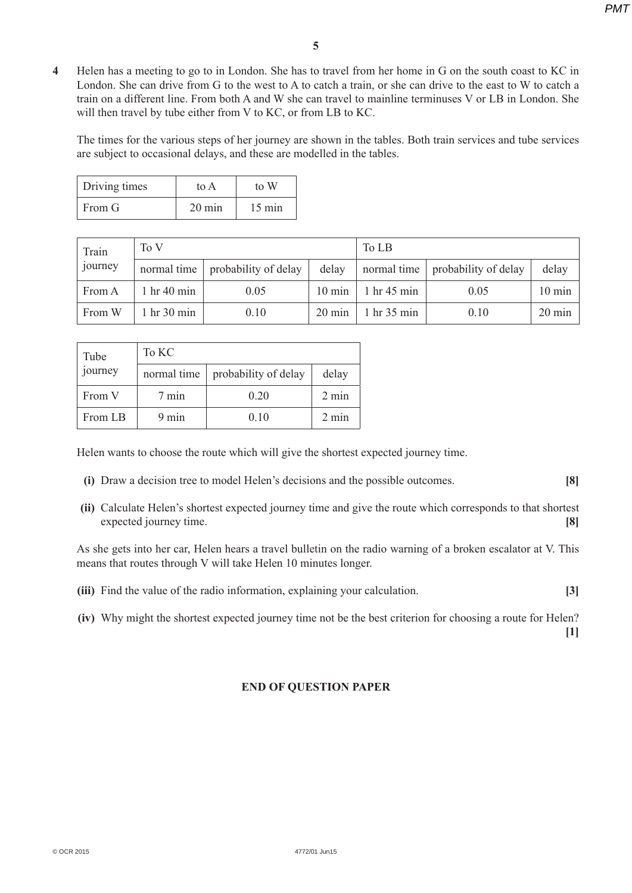- *PMT*
- **4**  Helen has a meeting to go to in London. She has to travel from her home in G on the south coast to KC in London. She can drive from G to the west to A to catch a train, or she can drive to the east to W to catch a train on a different line. From both A and W she can travel to mainline terminuses V or LB in London. She will then travel by tube either from V to KC, or from LB to KC.

The times for the various steps of her journey are shown in the tables. Both train services and tube services are subject to occasional delays, and these are modelled in the tables.

| Driving times | to A             | to W             |
|---------------|------------------|------------------|
| From G        | $20 \text{ min}$ | $15 \text{ min}$ |

| Train   | To V                          |                      |                  | To LB       |                      |                  |
|---------|-------------------------------|----------------------|------------------|-------------|----------------------|------------------|
| journey | normal time                   | probability of delay | delay            | normal time | probability of delay | delay            |
| From A  | $1 \text{ hr} 40 \text{ min}$ | 0.05                 | $10 \text{ min}$ | 1 hr 45 min | 0.05                 | $10 \text{ min}$ |
| From W  | $1 \text{ hr} 30 \text{ min}$ | 0.10                 | $20 \text{ min}$ | 1 hr 35 min | 0.10                 | $20 \text{ min}$ |

| Tube    | To KC           |                      |                 |  |  |
|---------|-----------------|----------------------|-----------------|--|--|
| journey | normal time     | probability of delay | delay           |  |  |
| From V  | $7 \text{ min}$ | 0.20                 | $2 \text{ min}$ |  |  |
| From LB | $9 \text{ min}$ | 0.10                 | $2 \text{ min}$ |  |  |

Helen wants to choose the route which will give the shortest expected journey time.

- **(i)** Draw a decision tree to model Helen's decisions and the possible outcomes. **[8]**
- **(ii)** Calculate Helen's shortest expected journey time and give the route which corresponds to that shortest expected journey time. **[8]**

As she gets into her car, Helen hears a travel bulletin on the radio warning of a broken escalator at V. This means that routes through V will take Helen 10 minutes longer.

**(iii)** Find the value of the radio information, explaining your calculation. **[3]** 

**(iv)** Why might the shortest expected journey time not be the best criterion for choosing a route for Helen? **[1]**

#### **END OF QUESTION PAPER**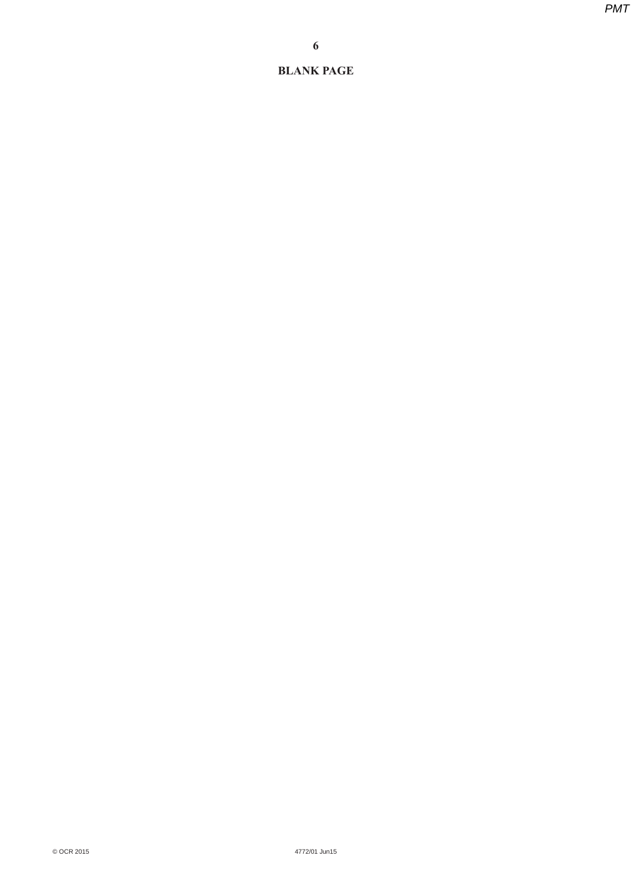### **BLANK PAGE**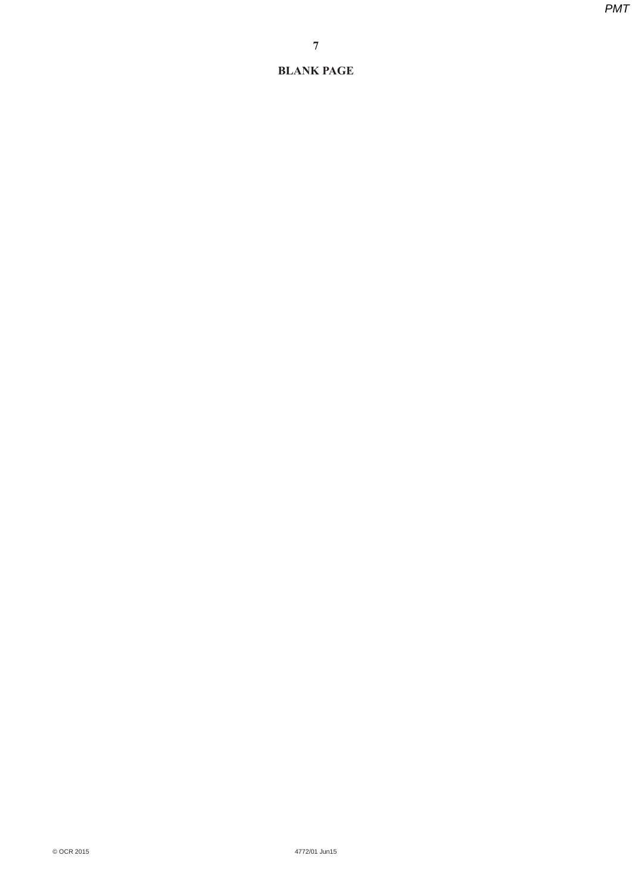#### **BLANK PAGE**